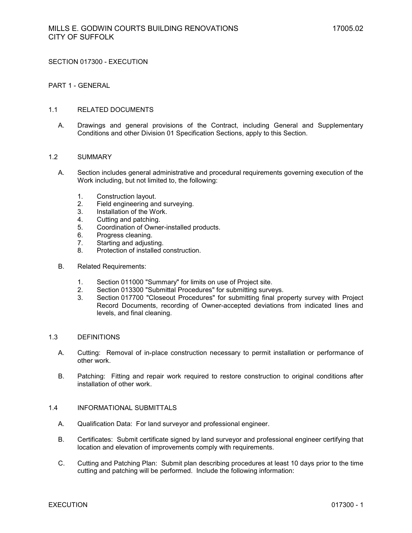SECTION 017300 - EXECUTION

### PART 1 - GENERAL

#### 1.1 RELATED DOCUMENTS

A. Drawings and general provisions of the Contract, including General and Supplementary Conditions and other Division 01 Specification Sections, apply to this Section.

#### 1.2 SUMMARY

- A. Section includes general administrative and procedural requirements governing execution of the Work including, but not limited to, the following:
	- 1. Construction layout.
	- 2. Field engineering and surveying.
	- 3. Installation of the Work.
	- 4. Cutting and patching.
	- 5. Coordination of Owner-installed products.
	- 6. Progress cleaning.
	- 7. Starting and adjusting.
	- 8. Protection of installed construction.
- B. Related Requirements:
	- 1. Section 011000 "Summary" for limits on use of Project site.
	- 2. Section 013300 "Submittal Procedures" for submitting surveys.<br>3. Section 017700 "Closeout Procedures" for submitting final pro-
	- Section 017700 "Closeout Procedures" for submitting final property survey with Project Record Documents, recording of Owner-accepted deviations from indicated lines and levels, and final cleaning.

# 1.3 DEFINITIONS

- A. Cutting: Removal of in-place construction necessary to permit installation or performance of other work.
- B. Patching: Fitting and repair work required to restore construction to original conditions after installation of other work.

#### 1.4 INFORMATIONAL SUBMITTALS

- A. Qualification Data: For land surveyor and professional engineer.
- B. Certificates: Submit certificate signed by land surveyor and professional engineer certifying that location and elevation of improvements comply with requirements.
- C. Cutting and Patching Plan: Submit plan describing procedures at least 10 days prior to the time cutting and patching will be performed. Include the following information: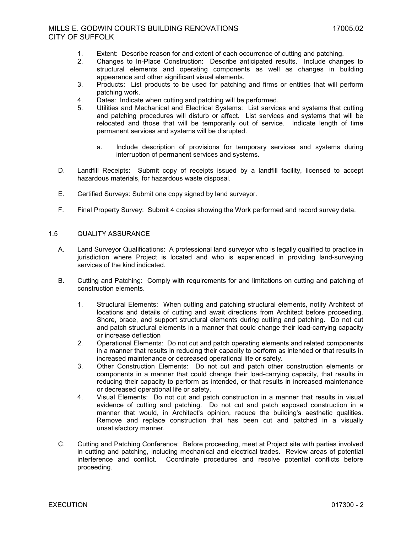- 1. Extent: Describe reason for and extent of each occurrence of cutting and patching.
- 2. Changes to In-Place Construction: Describe anticipated results. Include changes to structural elements and operating components as well as changes in building appearance and other significant visual elements.
- 3. Products: List products to be used for patching and firms or entities that will perform patching work.
- 4. Dates: Indicate when cutting and patching will be performed.
- 5. Utilities and Mechanical and Electrical Systems: List services and systems that cutting and patching procedures will disturb or affect. List services and systems that will be relocated and those that will be temporarily out of service. Indicate length of time permanent services and systems will be disrupted.
	- a. Include description of provisions for temporary services and systems during interruption of permanent services and systems.
- D. Landfill Receipts: Submit copy of receipts issued by a landfill facility, licensed to accept hazardous materials, for hazardous waste disposal.
- E. Certified Surveys: Submit one copy signed by land surveyor.
- F. Final Property Survey: Submit 4 copies showing the Work performed and record survey data.

# 1.5 QUALITY ASSURANCE

- A. Land Surveyor Qualifications: A professional land surveyor who is legally qualified to practice in jurisdiction where Project is located and who is experienced in providing land-surveying services of the kind indicated.
- B. Cutting and Patching: Comply with requirements for and limitations on cutting and patching of construction elements.
	- 1. Structural Elements: When cutting and patching structural elements, notify Architect of locations and details of cutting and await directions from Architect before proceeding. Shore, brace, and support structural elements during cutting and patching. Do not cut and patch structural elements in a manner that could change their load-carrying capacity or increase deflection
	- 2. Operational Elements: Do not cut and patch operating elements and related components in a manner that results in reducing their capacity to perform as intended or that results in increased maintenance or decreased operational life or safety.
	- 3. Other Construction Elements: Do not cut and patch other construction elements or components in a manner that could change their load-carrying capacity, that results in reducing their capacity to perform as intended, or that results in increased maintenance or decreased operational life or safety.
	- 4. Visual Elements: Do not cut and patch construction in a manner that results in visual evidence of cutting and patching. Do not cut and patch exposed construction in a manner that would, in Architect's opinion, reduce the building's aesthetic qualities. Remove and replace construction that has been cut and patched in a visually unsatisfactory manner.
- C. Cutting and Patching Conference: Before proceeding, meet at Project site with parties involved in cutting and patching, including mechanical and electrical trades. Review areas of potential interference and conflict. Coordinate procedures and resolve potential conflicts before proceeding.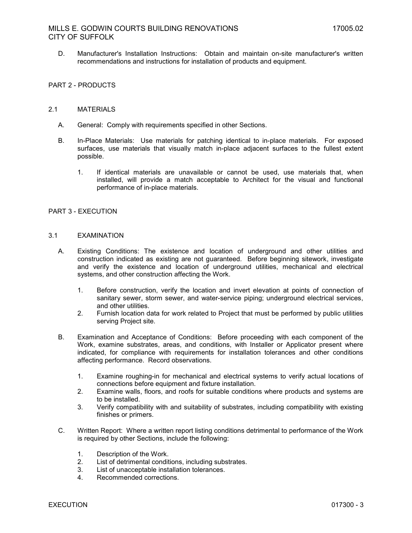D. Manufacturer's Installation Instructions: Obtain and maintain on-site manufacturer's written recommendations and instructions for installation of products and equipment.

# PART 2 - PRODUCTS

#### 2.1 MATERIALS

- A. General: Comply with requirements specified in other Sections.
- B. In-Place Materials: Use materials for patching identical to in-place materials. For exposed surfaces, use materials that visually match in-place adjacent surfaces to the fullest extent possible.
	- 1. If identical materials are unavailable or cannot be used, use materials that, when installed, will provide a match acceptable to Architect for the visual and functional performance of in-place materials.

### PART 3 - EXECUTION

#### 3.1 EXAMINATION

- A. Existing Conditions: The existence and location of underground and other utilities and construction indicated as existing are not guaranteed. Before beginning sitework, investigate and verify the existence and location of underground utilities, mechanical and electrical systems, and other construction affecting the Work.
	- 1. Before construction, verify the location and invert elevation at points of connection of sanitary sewer, storm sewer, and water-service piping; underground electrical services, and other utilities.
	- 2. Furnish location data for work related to Project that must be performed by public utilities serving Project site.
- B. Examination and Acceptance of Conditions: Before proceeding with each component of the Work, examine substrates, areas, and conditions, with Installer or Applicator present where indicated, for compliance with requirements for installation tolerances and other conditions affecting performance. Record observations.
	- 1. Examine roughing-in for mechanical and electrical systems to verify actual locations of connections before equipment and fixture installation.
	- 2. Examine walls, floors, and roofs for suitable conditions where products and systems are to be installed.
	- 3. Verify compatibility with and suitability of substrates, including compatibility with existing finishes or primers.
- C. Written Report: Where a written report listing conditions detrimental to performance of the Work is required by other Sections, include the following:
	- 1. Description of the Work.
	- 2. List of detrimental conditions, including substrates.
	- 3. List of unacceptable installation tolerances.
	- Recommended corrections.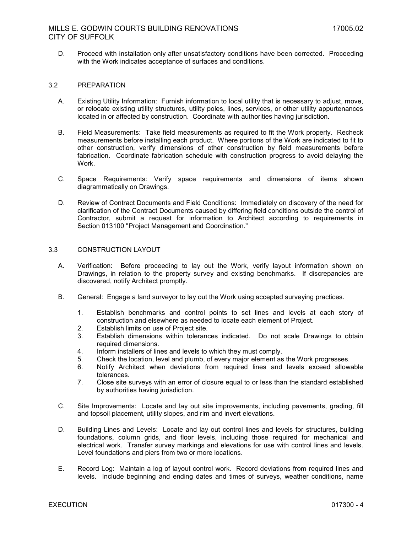D. Proceed with installation only after unsatisfactory conditions have been corrected. Proceeding with the Work indicates acceptance of surfaces and conditions.

### 3.2 PREPARATION

- A. Existing Utility Information: Furnish information to local utility that is necessary to adjust, move, or relocate existing utility structures, utility poles, lines, services, or other utility appurtenances located in or affected by construction. Coordinate with authorities having jurisdiction.
- B. Field Measurements: Take field measurements as required to fit the Work properly. Recheck measurements before installing each product. Where portions of the Work are indicated to fit to other construction, verify dimensions of other construction by field measurements before fabrication. Coordinate fabrication schedule with construction progress to avoid delaying the Work.
- C. Space Requirements: Verify space requirements and dimensions of items shown diagrammatically on Drawings.
- D. Review of Contract Documents and Field Conditions: Immediately on discovery of the need for clarification of the Contract Documents caused by differing field conditions outside the control of Contractor, submit a request for information to Architect according to requirements in Section 013100 "Project Management and Coordination."

### 3.3 CONSTRUCTION LAYOUT

- A. Verification: Before proceeding to lay out the Work, verify layout information shown on Drawings, in relation to the property survey and existing benchmarks. If discrepancies are discovered, notify Architect promptly.
- B. General: Engage a land surveyor to lay out the Work using accepted surveying practices.
	- 1. Establish benchmarks and control points to set lines and levels at each story of construction and elsewhere as needed to locate each element of Project.
	- 2. Establish limits on use of Project site.
	- 3. Establish dimensions within tolerances indicated. Do not scale Drawings to obtain required dimensions.
	- 4. Inform installers of lines and levels to which they must comply.
	- 5. Check the location, level and plumb, of every major element as the Work progresses.
	- 6. Notify Architect when deviations from required lines and levels exceed allowable tolerances.
	- 7. Close site surveys with an error of closure equal to or less than the standard established by authorities having jurisdiction.
- C. Site Improvements: Locate and lay out site improvements, including pavements, grading, fill and topsoil placement, utility slopes, and rim and invert elevations.
- D. Building Lines and Levels: Locate and lay out control lines and levels for structures, building foundations, column grids, and floor levels, including those required for mechanical and electrical work. Transfer survey markings and elevations for use with control lines and levels. Level foundations and piers from two or more locations.
- E. Record Log: Maintain a log of layout control work. Record deviations from required lines and levels. Include beginning and ending dates and times of surveys, weather conditions, name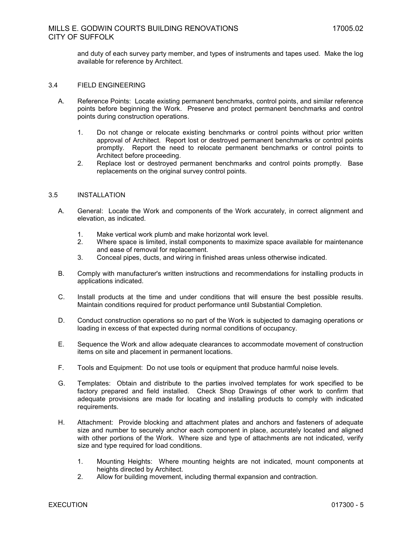and duty of each survey party member, and types of instruments and tapes used. Make the log available for reference by Architect.

### 3.4 FIELD ENGINEERING

- A. Reference Points: Locate existing permanent benchmarks, control points, and similar reference points before beginning the Work. Preserve and protect permanent benchmarks and control points during construction operations.
	- 1. Do not change or relocate existing benchmarks or control points without prior written approval of Architect. Report lost or destroyed permanent benchmarks or control points promptly. Report the need to relocate permanent benchmarks or control points to Architect before proceeding.
	- 2. Replace lost or destroyed permanent benchmarks and control points promptly. Base replacements on the original survey control points.

#### 3.5 INSTALLATION

- A. General: Locate the Work and components of the Work accurately, in correct alignment and elevation, as indicated.
	- 1. Make vertical work plumb and make horizontal work level.
	- 2. Where space is limited, install components to maximize space available for maintenance and ease of removal for replacement.
	- 3. Conceal pipes, ducts, and wiring in finished areas unless otherwise indicated.
- B. Comply with manufacturer's written instructions and recommendations for installing products in applications indicated.
- C. Install products at the time and under conditions that will ensure the best possible results. Maintain conditions required for product performance until Substantial Completion.
- D. Conduct construction operations so no part of the Work is subjected to damaging operations or loading in excess of that expected during normal conditions of occupancy.
- E. Sequence the Work and allow adequate clearances to accommodate movement of construction items on site and placement in permanent locations.
- F. Tools and Equipment: Do not use tools or equipment that produce harmful noise levels.
- G. Templates: Obtain and distribute to the parties involved templates for work specified to be factory prepared and field installed. Check Shop Drawings of other work to confirm that adequate provisions are made for locating and installing products to comply with indicated requirements.
- H. Attachment: Provide blocking and attachment plates and anchors and fasteners of adequate size and number to securely anchor each component in place, accurately located and aligned with other portions of the Work. Where size and type of attachments are not indicated, verify size and type required for load conditions.
	- 1. Mounting Heights: Where mounting heights are not indicated, mount components at heights directed by Architect.
	- 2. Allow for building movement, including thermal expansion and contraction.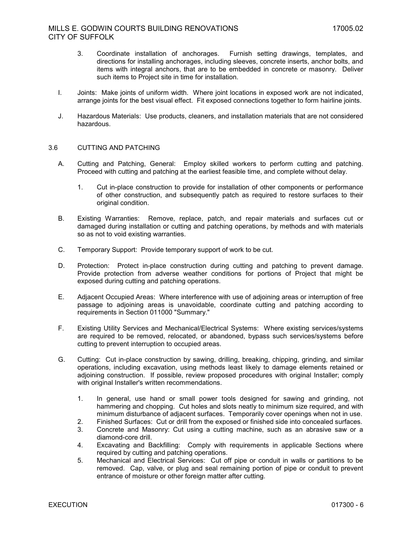- 3. Coordinate installation of anchorages. Furnish setting drawings, templates, and directions for installing anchorages, including sleeves, concrete inserts, anchor bolts, and items with integral anchors, that are to be embedded in concrete or masonry. Deliver such items to Project site in time for installation.
- I. Joints: Make joints of uniform width. Where joint locations in exposed work are not indicated, arrange joints for the best visual effect. Fit exposed connections together to form hairline joints.
- J. Hazardous Materials: Use products, cleaners, and installation materials that are not considered hazardous.

# 3.6 CUTTING AND PATCHING

- A. Cutting and Patching, General: Employ skilled workers to perform cutting and patching. Proceed with cutting and patching at the earliest feasible time, and complete without delay.
	- 1. Cut in-place construction to provide for installation of other components or performance of other construction, and subsequently patch as required to restore surfaces to their original condition.
- B. Existing Warranties: Remove, replace, patch, and repair materials and surfaces cut or damaged during installation or cutting and patching operations, by methods and with materials so as not to void existing warranties.
- C. Temporary Support: Provide temporary support of work to be cut.
- D. Protection: Protect in-place construction during cutting and patching to prevent damage. Provide protection from adverse weather conditions for portions of Project that might be exposed during cutting and patching operations.
- E. Adjacent Occupied Areas: Where interference with use of adjoining areas or interruption of free passage to adjoining areas is unavoidable, coordinate cutting and patching according to requirements in Section 011000 "Summary."
- F. Existing Utility Services and Mechanical/Electrical Systems: Where existing services/systems are required to be removed, relocated, or abandoned, bypass such services/systems before cutting to prevent interruption to occupied areas.
- G. Cutting: Cut in-place construction by sawing, drilling, breaking, chipping, grinding, and similar operations, including excavation, using methods least likely to damage elements retained or adjoining construction. If possible, review proposed procedures with original Installer; comply with original Installer's written recommendations.
	- 1. In general, use hand or small power tools designed for sawing and grinding, not hammering and chopping. Cut holes and slots neatly to minimum size required, and with minimum disturbance of adjacent surfaces. Temporarily cover openings when not in use.
	- 2. Finished Surfaces: Cut or drill from the exposed or finished side into concealed surfaces.
	- 3. Concrete and Masonry: Cut using a cutting machine, such as an abrasive saw or a diamond-core drill.
	- 4. Excavating and Backfilling: Comply with requirements in applicable Sections where required by cutting and patching operations.
	- 5. Mechanical and Electrical Services: Cut off pipe or conduit in walls or partitions to be removed. Cap, valve, or plug and seal remaining portion of pipe or conduit to prevent entrance of moisture or other foreign matter after cutting.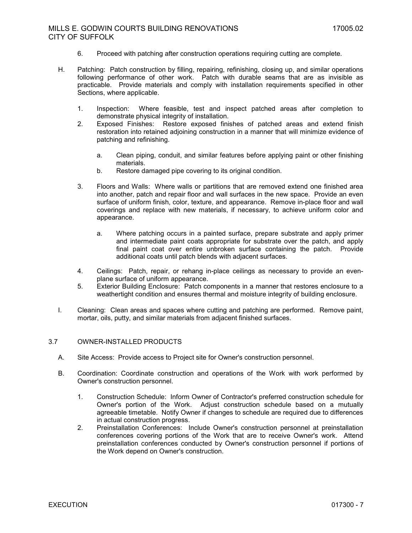- 6. Proceed with patching after construction operations requiring cutting are complete.
- H. Patching: Patch construction by filling, repairing, refinishing, closing up, and similar operations following performance of other work. Patch with durable seams that are as invisible as practicable. Provide materials and comply with installation requirements specified in other Sections, where applicable.
	- 1. Inspection: Where feasible, test and inspect patched areas after completion to demonstrate physical integrity of installation.
	- 2. Exposed Finishes: Restore exposed finishes of patched areas and extend finish restoration into retained adjoining construction in a manner that will minimize evidence of patching and refinishing.
		- a. Clean piping, conduit, and similar features before applying paint or other finishing materials.
		- b. Restore damaged pipe covering to its original condition.
	- 3. Floors and Walls: Where walls or partitions that are removed extend one finished area into another, patch and repair floor and wall surfaces in the new space. Provide an even surface of uniform finish, color, texture, and appearance. Remove in-place floor and wall coverings and replace with new materials, if necessary, to achieve uniform color and appearance.
		- a. Where patching occurs in a painted surface, prepare substrate and apply primer and intermediate paint coats appropriate for substrate over the patch, and apply final paint coat over entire unbroken surface containing the patch. Provide additional coats until patch blends with adjacent surfaces.
	- 4. Ceilings: Patch, repair, or rehang in-place ceilings as necessary to provide an evenplane surface of uniform appearance.
	- 5. Exterior Building Enclosure: Patch components in a manner that restores enclosure to a weathertight condition and ensures thermal and moisture integrity of building enclosure.
- I. Cleaning: Clean areas and spaces where cutting and patching are performed. Remove paint, mortar, oils, putty, and similar materials from adjacent finished surfaces.

# 3.7 OWNER-INSTALLED PRODUCTS

- A. Site Access: Provide access to Project site for Owner's construction personnel.
- B. Coordination: Coordinate construction and operations of the Work with work performed by Owner's construction personnel.
	- 1. Construction Schedule: Inform Owner of Contractor's preferred construction schedule for Owner's portion of the Work. Adjust construction schedule based on a mutually agreeable timetable. Notify Owner if changes to schedule are required due to differences in actual construction progress.
	- 2. Preinstallation Conferences: Include Owner's construction personnel at preinstallation conferences covering portions of the Work that are to receive Owner's work. Attend preinstallation conferences conducted by Owner's construction personnel if portions of the Work depend on Owner's construction.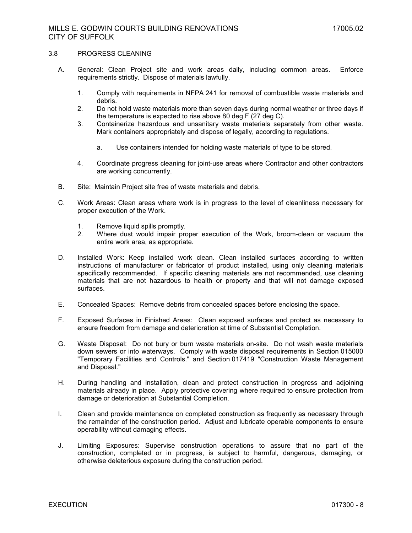### 3.8 PROGRESS CLEANING

- A. General: Clean Project site and work areas daily, including common areas. Enforce requirements strictly. Dispose of materials lawfully.
	- 1. Comply with requirements in NFPA 241 for removal of combustible waste materials and debris.
	- 2. Do not hold waste materials more than seven days during normal weather or three days if the temperature is expected to rise above 80 deg F (27 deg C).
	- 3. Containerize hazardous and unsanitary waste materials separately from other waste. Mark containers appropriately and dispose of legally, according to regulations.
		- a. Use containers intended for holding waste materials of type to be stored.
	- 4. Coordinate progress cleaning for joint-use areas where Contractor and other contractors are working concurrently.
- B. Site: Maintain Project site free of waste materials and debris.
- C. Work Areas: Clean areas where work is in progress to the level of cleanliness necessary for proper execution of the Work.
	- 1. Remove liquid spills promptly.
	- 2. Where dust would impair proper execution of the Work, broom-clean or vacuum the entire work area, as appropriate.
- D. Installed Work: Keep installed work clean. Clean installed surfaces according to written instructions of manufacturer or fabricator of product installed, using only cleaning materials specifically recommended. If specific cleaning materials are not recommended, use cleaning materials that are not hazardous to health or property and that will not damage exposed surfaces.
- E. Concealed Spaces: Remove debris from concealed spaces before enclosing the space.
- F. Exposed Surfaces in Finished Areas: Clean exposed surfaces and protect as necessary to ensure freedom from damage and deterioration at time of Substantial Completion.
- G. Waste Disposal: Do not bury or burn waste materials on-site. Do not wash waste materials down sewers or into waterways. Comply with waste disposal requirements in Section 015000 "Temporary Facilities and Controls." and Section 017419 "Construction Waste Management and Disposal."
- H. During handling and installation, clean and protect construction in progress and adjoining materials already in place. Apply protective covering where required to ensure protection from damage or deterioration at Substantial Completion.
- I. Clean and provide maintenance on completed construction as frequently as necessary through the remainder of the construction period. Adjust and lubricate operable components to ensure operability without damaging effects.
- J. Limiting Exposures: Supervise construction operations to assure that no part of the construction, completed or in progress, is subject to harmful, dangerous, damaging, or otherwise deleterious exposure during the construction period.